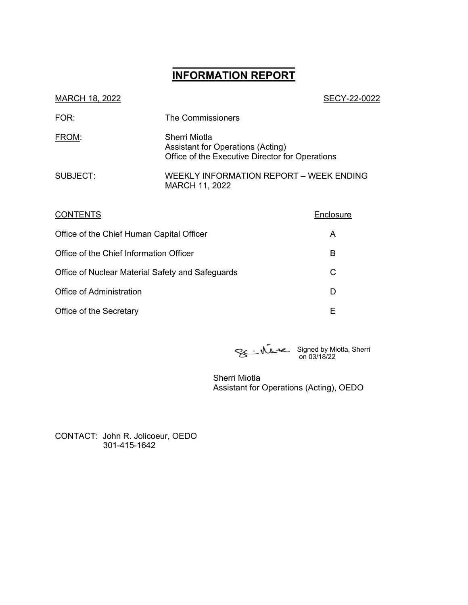# **\_\_\_\_\_\_\_\_\_\_\_\_\_\_\_\_\_\_ INFORMATION REPORT**

| MARCH 18, 2022 | SECY-22-0022                                                                                          |
|----------------|-------------------------------------------------------------------------------------------------------|
| FOR:           | The Commissioners                                                                                     |
| FROM:          | Sherri Miotla<br>Assistant for Operations (Acting)<br>Office of the Executive Director for Operations |
| SUBJECT:       | <b>WEEKLY INFORMATION REPORT - WEEK ENDING</b><br>MARCH 11, 2022                                      |

| <b>CONTENTS</b>                                  | Enclosure |
|--------------------------------------------------|-----------|
| Office of the Chief Human Capital Officer        | A         |
| Office of the Chief Information Officer          | В         |
| Office of Nuclear Material Safety and Safeguards | C         |
| Office of Administration                         | D         |
| Office of the Secretary                          | Е         |

Signed by Miotla, Sherri on 03/18/22

Sherri Miotla Assistant for Operations (Acting), OEDO

CONTACT: John R. Jolicoeur, OEDO 301-415-1642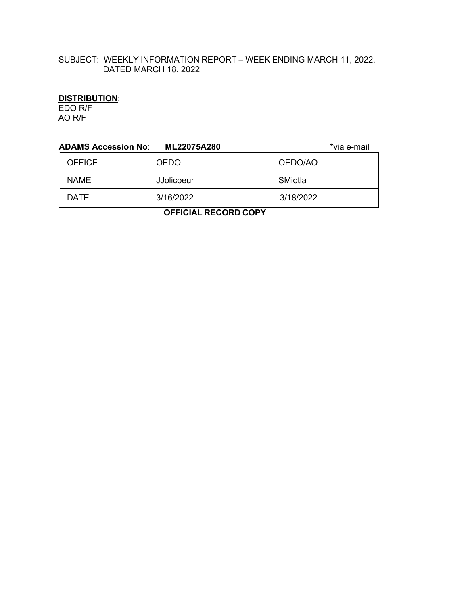# SUBJECT: WEEKLY INFORMATION REPORT – WEEK ENDING MARCH 11, 2022, DATED MARCH 18, 2022

## **DISTRIBUTION**:

EDO R/F AO R/F

| <b>ADAMS Accession No:</b>                                  | ML22075A280       | *via e-mail |  |  |
|-------------------------------------------------------------|-------------------|-------------|--|--|
| <b>OFFICE</b>                                               | <b>OEDO</b>       | OEDO/AO     |  |  |
| <b>NAME</b>                                                 | <b>JJolicoeur</b> | SMiotla     |  |  |
| <b>DATE</b>                                                 | 3/16/2022         | 3/18/2022   |  |  |
| -------<br>$\sim$ $\sim$ $\sim$ $\sim$ $\sim$ $\sim$ $\sim$ |                   |             |  |  |

 **OFFICIAL RECORD COPY**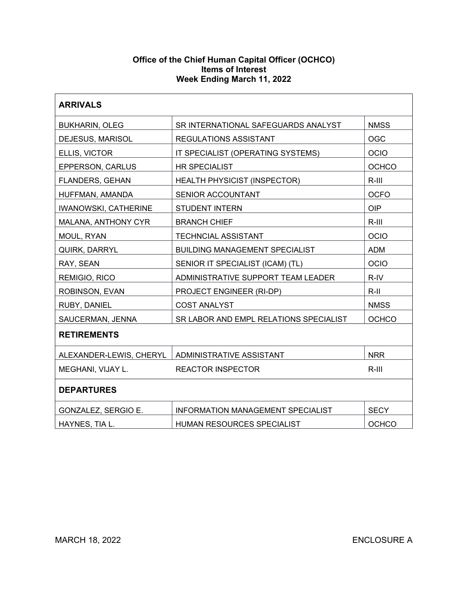## **Office of the Chief Human Capital Officer (OCHCO) Items of Interest Week Ending March 11, 2022**

| <b>ARRIVALS</b>             |                                           |              |
|-----------------------------|-------------------------------------------|--------------|
| <b>BUKHARIN, OLEG</b>       | SR INTERNATIONAL SAFEGUARDS ANALYST       | <b>NMSS</b>  |
| DEJESUS, MARISOL            | <b>REGULATIONS ASSISTANT</b>              | <b>OGC</b>   |
| ELLIS, VICTOR               | OCIO<br>IT SPECIALIST (OPERATING SYSTEMS) |              |
| <b>EPPERSON, CARLUS</b>     | <b>HR SPECIALIST</b><br><b>OCHCO</b>      |              |
| <b>FLANDERS, GEHAN</b>      | <b>HEALTH PHYSICIST (INSPECTOR)</b>       | $R-III$      |
| HUFFMAN, AMANDA             | SENIOR ACCOUNTANT                         | <b>OCFO</b>  |
| <b>IWANOWSKI, CATHERINE</b> | <b>STUDENT INTERN</b>                     | <b>OIP</b>   |
| MALANA, ANTHONY CYR         | <b>BRANCH CHIEF</b>                       | $R-III$      |
| MOUL, RYAN                  | <b>TECHNCIAL ASSISTANT</b>                | OCIO         |
| QUIRK, DARRYL               | <b>BUILDING MANAGEMENT SPECIALIST</b>     | <b>ADM</b>   |
| RAY, SEAN                   | SENIOR IT SPECIALIST (ICAM) (TL)          | <b>OCIO</b>  |
| REMIGIO, RICO               | ADMINISTRATIVE SUPPORT TEAM LEADER        | R-IV         |
| ROBINSON, EVAN              | $R-II$<br>PROJECT ENGINEER (RI-DP)        |              |
| RUBY, DANIEL                | <b>COST ANALYST</b>                       | <b>NMSS</b>  |
| SAUCERMAN, JENNA            | SR LABOR AND EMPL RELATIONS SPECIALIST    | OCHCO        |
| <b>RETIREMENTS</b>          |                                           |              |
| ALEXANDER-LEWIS, CHERYL     | ADMINISTRATIVE ASSISTANT                  | <b>NRR</b>   |
| MEGHANI, VIJAY L.           | <b>REACTOR INSPECTOR</b>                  | $R-III$      |
| <b>DEPARTURES</b>           |                                           |              |
| GONZALEZ, SERGIO E.         | <b>INFORMATION MANAGEMENT SPECIALIST</b>  | <b>SECY</b>  |
| HAYNES, TIA L.              | HUMAN RESOURCES SPECIALIST                | <b>OCHCO</b> |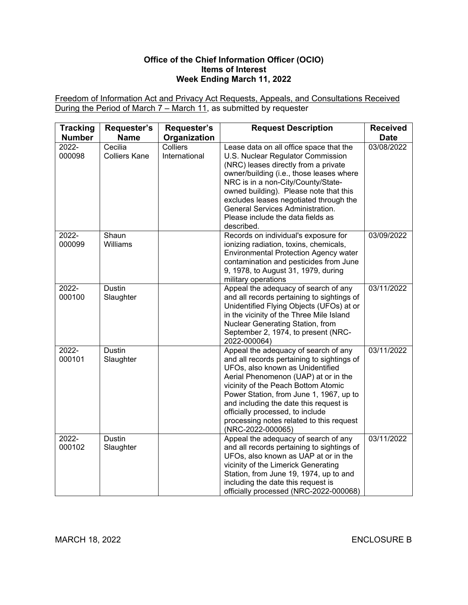## **Office of the Chief Information Officer (OCIO) Items of Interest Week Ending March 11, 2022**

Freedom of Information Act and Privacy Act Requests, Appeals, and Consultations Received During the Period of March 7 – March 11, as submitted by requester

| <b>Tracking</b><br><b>Number</b> | Requester's<br><b>Name</b>      | Requester's<br>Organization | <b>Request Description</b>                                                                                                                                                                                                                                                                                                                                                                      | <b>Received</b><br><b>Date</b> |
|----------------------------------|---------------------------------|-----------------------------|-------------------------------------------------------------------------------------------------------------------------------------------------------------------------------------------------------------------------------------------------------------------------------------------------------------------------------------------------------------------------------------------------|--------------------------------|
| 2022-<br>000098                  | Cecilia<br><b>Colliers Kane</b> | Colliers<br>International   | Lease data on all office space that the<br>U.S. Nuclear Regulator Commission<br>(NRC) leases directly from a private<br>owner/building (i.e., those leases where<br>NRC is in a non-City/County/State-<br>owned building). Please note that this<br>excludes leases negotiated through the<br>General Services Administration.<br>Please include the data fields as<br>described.               | 03/08/2022                     |
| 2022-<br>000099                  | Shaun<br>Williams               |                             | Records on individual's exposure for<br>ionizing radiation, toxins, chemicals,<br><b>Environmental Protection Agency water</b><br>contamination and pesticides from June<br>9, 1978, to August 31, 1979, during<br>military operations                                                                                                                                                          | 03/09/2022                     |
| 2022-<br>000100                  | <b>Dustin</b><br>Slaughter      |                             | Appeal the adequacy of search of any<br>and all records pertaining to sightings of<br>Unidentified Flying Objects (UFOs) at or<br>in the vicinity of the Three Mile Island<br>Nuclear Generating Station, from<br>September 2, 1974, to present (NRC-<br>2022-000064)                                                                                                                           | 03/11/2022                     |
| 2022-<br>000101                  | <b>Dustin</b><br>Slaughter      |                             | Appeal the adequacy of search of any<br>and all records pertaining to sightings of<br>UFOs, also known as Unidentified<br>Aerial Phenomenon (UAP) at or in the<br>vicinity of the Peach Bottom Atomic<br>Power Station, from June 1, 1967, up to<br>and including the date this request is<br>officially processed, to include<br>processing notes related to this request<br>(NRC-2022-000065) | 03/11/2022                     |
| 2022-<br>000102                  | <b>Dustin</b><br>Slaughter      |                             | Appeal the adequacy of search of any<br>and all records pertaining to sightings of<br>UFOs, also known as UAP at or in the<br>vicinity of the Limerick Generating<br>Station, from June 19, 1974, up to and<br>including the date this request is<br>officially processed (NRC-2022-000068)                                                                                                     | 03/11/2022                     |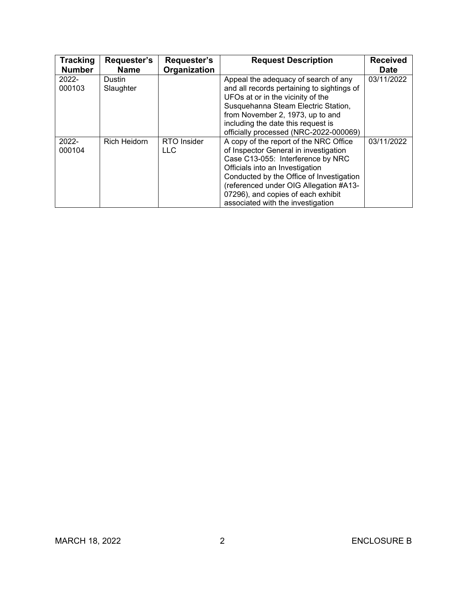| <b>Tracking</b><br><b>Number</b> | Requester's<br><b>Name</b> | Requester's<br>Organization | <b>Request Description</b>                                                                                                                                                                                                                                                                                               | <b>Received</b><br><b>Date</b> |
|----------------------------------|----------------------------|-----------------------------|--------------------------------------------------------------------------------------------------------------------------------------------------------------------------------------------------------------------------------------------------------------------------------------------------------------------------|--------------------------------|
| $2022 -$<br>000103               | Dustin<br>Slaughter        |                             | Appeal the adequacy of search of any<br>and all records pertaining to sightings of<br>UFOs at or in the vicinity of the<br>Susquehanna Steam Electric Station,<br>from November 2, 1973, up to and<br>including the date this request is<br>officially processed (NRC-2022-000069)                                       | 03/11/2022                     |
| $2022 -$<br>000104               | <b>Rich Heidorn</b>        | RTO Insider<br><b>LLC</b>   | A copy of the report of the NRC Office<br>of Inspector General in investigation<br>Case C13-055: Interference by NRC<br>Officials into an Investigation<br>Conducted by the Office of Investigation<br>(referenced under OIG Allegation #A13-<br>07296), and copies of each exhibit<br>associated with the investigation | 03/11/2022                     |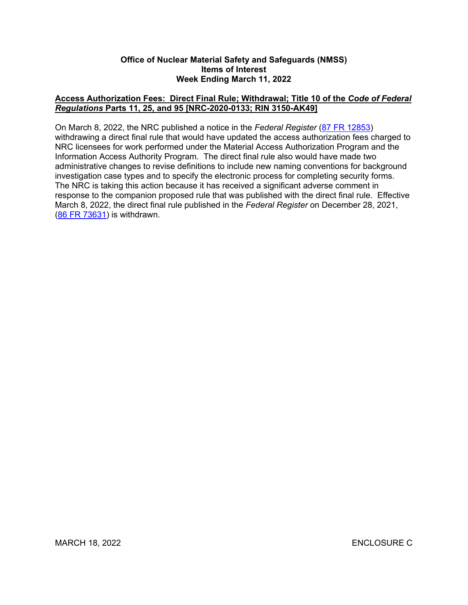#### **Office of Nuclear Material Safety and Safeguards (NMSS) Items of Interest Week Ending March 11, 2022**

## **Access Authorization Fees: Direct Final Rule; Withdrawal; Title 10 of the** *Code of Federal Regulations* **Parts 11, 25, and 95 [NRC-2020-0133; RIN 3150-AK49]**

On March 8, 2022, the NRC published a notice in the *Federal Register* [\(87 FR 12853\)](https://www.federalregister.gov/d/2022-04813) withdrawing a direct final rule that would have updated the access authorization fees charged to NRC licensees for work performed under the Material Access Authorization Program and the Information Access Authority Program. The direct final rule also would have made two administrative changes to revise definitions to include new naming conventions for background investigation case types and to specify the electronic process for completing security forms. The NRC is taking this action because it has received a significant adverse comment in response to the companion proposed rule that was published with the direct final rule. Effective March 8, 2022, the direct final rule published in the *Federal Register* on December 28, 2021, ([86 FR 73631](https://www.federalregister.gov/d/2021-28116)) is withdrawn.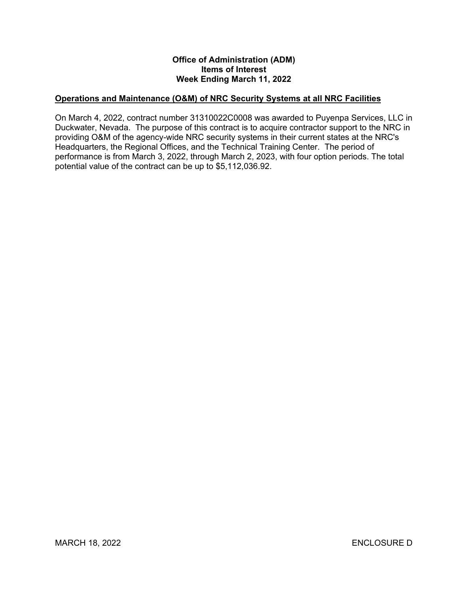## **Office of Administration (ADM) Items of Interest Week Ending March 11, 2022**

# **Operations and Maintenance (O&M) of NRC Security Systems at all NRC Facilities**

On March 4, 2022, contract number 31310022C0008 was awarded to Puyenpa Services, LLC in Duckwater, Nevada. The purpose of this contract is to acquire contractor support to the NRC in providing O&M of the agency-wide NRC security systems in their current states at the NRC's Headquarters, the Regional Offices, and the Technical Training Center. The period of performance is from March 3, 2022, through March 2, 2023, with four option periods. The total potential value of the contract can be up to \$5,112,036.92.